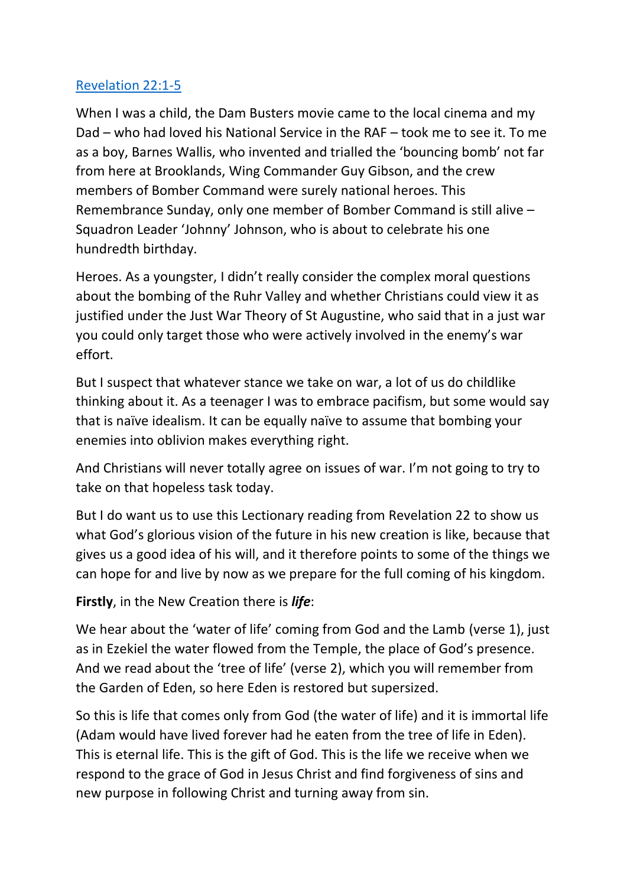## [Revelation 22:1-5](https://www.biblegateway.com/passage/?search=Revelation+22%3A1-5&version=NIVUK)

When I was a child, the Dam Busters movie came to the local cinema and my Dad – who had loved his National Service in the RAF – took me to see it. To me as a boy, Barnes Wallis, who invented and trialled the 'bouncing bomb' not far from here at Brooklands, Wing Commander Guy Gibson, and the crew members of Bomber Command were surely national heroes. This Remembrance Sunday, only one member of Bomber Command is still alive – Squadron Leader 'Johnny' Johnson, who is about to celebrate his one hundredth birthday.

Heroes. As a youngster, I didn't really consider the complex moral questions about the bombing of the Ruhr Valley and whether Christians could view it as justified under the Just War Theory of St Augustine, who said that in a just war you could only target those who were actively involved in the enemy's war effort.

But I suspect that whatever stance we take on war, a lot of us do childlike thinking about it. As a teenager I was to embrace pacifism, but some would say that is naïve idealism. It can be equally naïve to assume that bombing your enemies into oblivion makes everything right.

And Christians will never totally agree on issues of war. I'm not going to try to take on that hopeless task today.

But I do want us to use this Lectionary reading from Revelation 22 to show us what God's glorious vision of the future in his new creation is like, because that gives us a good idea of his will, and it therefore points to some of the things we can hope for and live by now as we prepare for the full coming of his kingdom.

**Firstly**, in the New Creation there is *life*:

We hear about the 'water of life' coming from God and the Lamb (verse 1), just as in Ezekiel the water flowed from the Temple, the place of God's presence. And we read about the 'tree of life' (verse 2), which you will remember from the Garden of Eden, so here Eden is restored but supersized.

So this is life that comes only from God (the water of life) and it is immortal life (Adam would have lived forever had he eaten from the tree of life in Eden). This is eternal life. This is the gift of God. This is the life we receive when we respond to the grace of God in Jesus Christ and find forgiveness of sins and new purpose in following Christ and turning away from sin.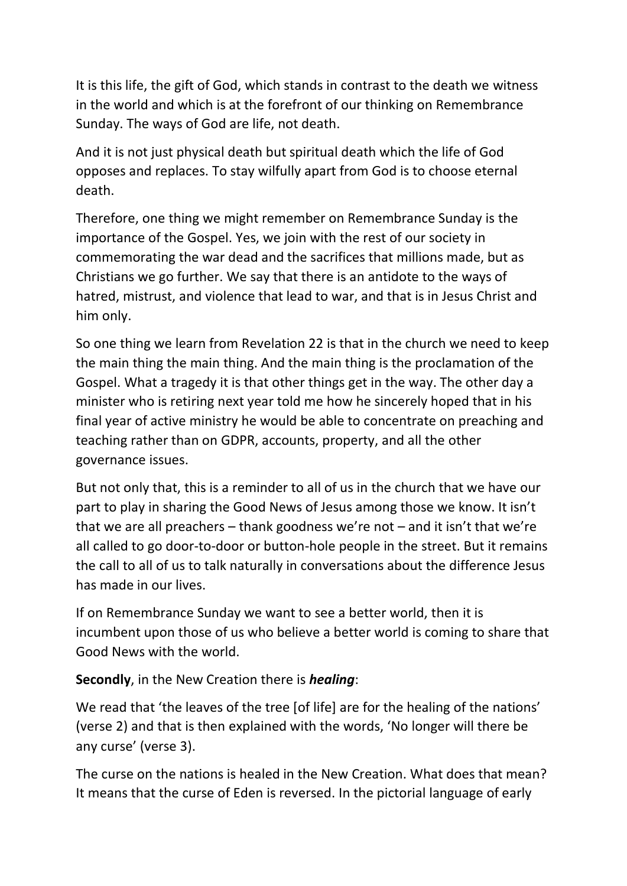It is this life, the gift of God, which stands in contrast to the death we witness in the world and which is at the forefront of our thinking on Remembrance Sunday. The ways of God are life, not death.

And it is not just physical death but spiritual death which the life of God opposes and replaces. To stay wilfully apart from God is to choose eternal death.

Therefore, one thing we might remember on Remembrance Sunday is the importance of the Gospel. Yes, we join with the rest of our society in commemorating the war dead and the sacrifices that millions made, but as Christians we go further. We say that there is an antidote to the ways of hatred, mistrust, and violence that lead to war, and that is in Jesus Christ and him only.

So one thing we learn from Revelation 22 is that in the church we need to keep the main thing the main thing. And the main thing is the proclamation of the Gospel. What a tragedy it is that other things get in the way. The other day a minister who is retiring next year told me how he sincerely hoped that in his final year of active ministry he would be able to concentrate on preaching and teaching rather than on GDPR, accounts, property, and all the other governance issues.

But not only that, this is a reminder to all of us in the church that we have our part to play in sharing the Good News of Jesus among those we know. It isn't that we are all preachers – thank goodness we're not – and it isn't that we're all called to go door-to-door or button-hole people in the street. But it remains the call to all of us to talk naturally in conversations about the difference Jesus has made in our lives.

If on Remembrance Sunday we want to see a better world, then it is incumbent upon those of us who believe a better world is coming to share that Good News with the world.

**Secondly**, in the New Creation there is *healing*:

We read that 'the leaves of the tree [of life] are for the healing of the nations' (verse 2) and that is then explained with the words, 'No longer will there be any curse' (verse 3).

The curse on the nations is healed in the New Creation. What does that mean? It means that the curse of Eden is reversed. In the pictorial language of early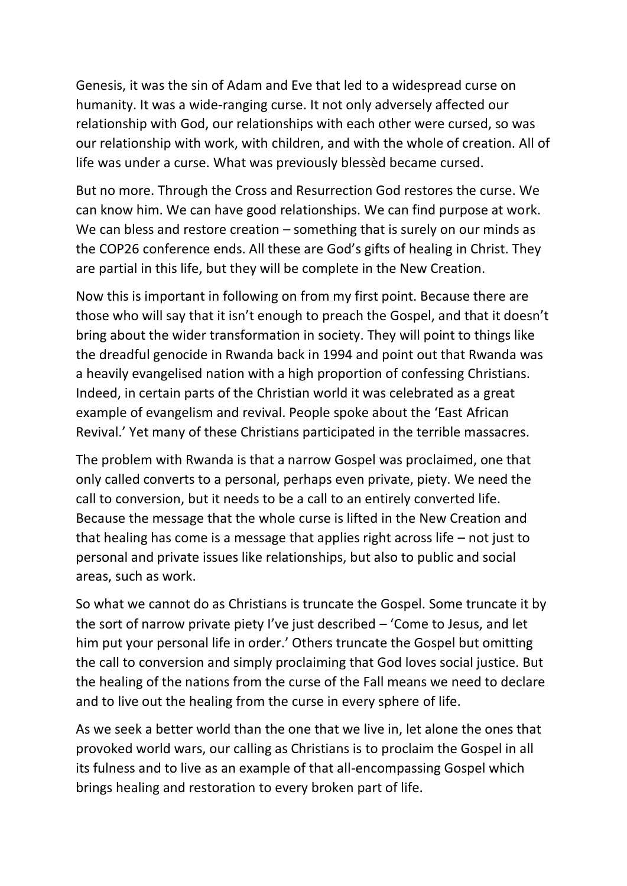Genesis, it was the sin of Adam and Eve that led to a widespread curse on humanity. It was a wide-ranging curse. It not only adversely affected our relationship with God, our relationships with each other were cursed, so was our relationship with work, with children, and with the whole of creation. All of life was under a curse. What was previously blessèd became cursed.

But no more. Through the Cross and Resurrection God restores the curse. We can know him. We can have good relationships. We can find purpose at work. We can bless and restore creation – something that is surely on our minds as the COP26 conference ends. All these are God's gifts of healing in Christ. They are partial in this life, but they will be complete in the New Creation.

Now this is important in following on from my first point. Because there are those who will say that it isn't enough to preach the Gospel, and that it doesn't bring about the wider transformation in society. They will point to things like the dreadful genocide in Rwanda back in 1994 and point out that Rwanda was a heavily evangelised nation with a high proportion of confessing Christians. Indeed, in certain parts of the Christian world it was celebrated as a great example of evangelism and revival. People spoke about the 'East African Revival.' Yet many of these Christians participated in the terrible massacres.

The problem with Rwanda is that a narrow Gospel was proclaimed, one that only called converts to a personal, perhaps even private, piety. We need the call to conversion, but it needs to be a call to an entirely converted life. Because the message that the whole curse is lifted in the New Creation and that healing has come is a message that applies right across life – not just to personal and private issues like relationships, but also to public and social areas, such as work.

So what we cannot do as Christians is truncate the Gospel. Some truncate it by the sort of narrow private piety I've just described – 'Come to Jesus, and let him put your personal life in order.' Others truncate the Gospel but omitting the call to conversion and simply proclaiming that God loves social justice. But the healing of the nations from the curse of the Fall means we need to declare and to live out the healing from the curse in every sphere of life.

As we seek a better world than the one that we live in, let alone the ones that provoked world wars, our calling as Christians is to proclaim the Gospel in all its fulness and to live as an example of that all-encompassing Gospel which brings healing and restoration to every broken part of life.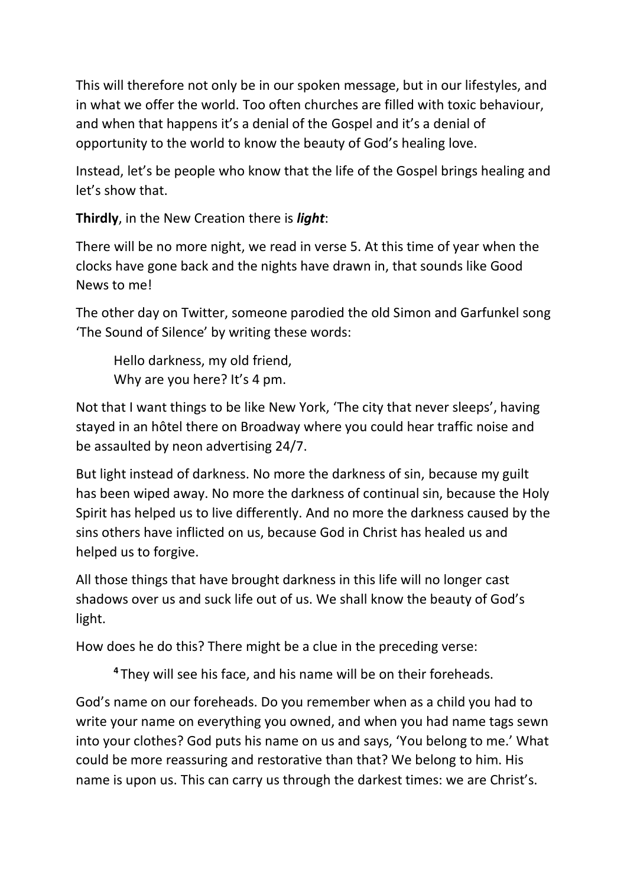This will therefore not only be in our spoken message, but in our lifestyles, and in what we offer the world. Too often churches are filled with toxic behaviour, and when that happens it's a denial of the Gospel and it's a denial of opportunity to the world to know the beauty of God's healing love.

Instead, let's be people who know that the life of the Gospel brings healing and let's show that.

**Thirdly**, in the New Creation there is *light*:

There will be no more night, we read in verse 5. At this time of year when the clocks have gone back and the nights have drawn in, that sounds like Good News to me!

The other day on Twitter, someone parodied the old Simon and Garfunkel song 'The Sound of Silence' by writing these words:

Hello darkness, my old friend, Why are you here? It's 4 pm.

Not that I want things to be like New York, 'The city that never sleeps', having stayed in an hôtel there on Broadway where you could hear traffic noise and be assaulted by neon advertising 24/7.

But light instead of darkness. No more the darkness of sin, because my guilt has been wiped away. No more the darkness of continual sin, because the Holy Spirit has helped us to live differently. And no more the darkness caused by the sins others have inflicted on us, because God in Christ has healed us and helped us to forgive.

All those things that have brought darkness in this life will no longer cast shadows over us and suck life out of us. We shall know the beauty of God's light.

How does he do this? There might be a clue in the preceding verse:

**<sup>4</sup>** They will see his face, and his name will be on their foreheads.

God's name on our foreheads. Do you remember when as a child you had to write your name on everything you owned, and when you had name tags sewn into your clothes? God puts his name on us and says, 'You belong to me.' What could be more reassuring and restorative than that? We belong to him. His name is upon us. This can carry us through the darkest times: we are Christ's.